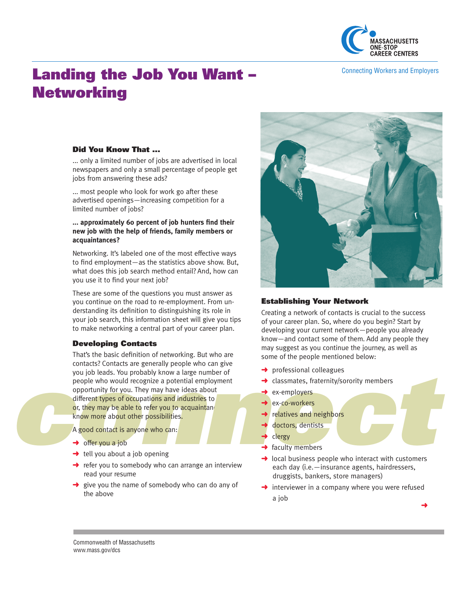

Connecting Workers and Employers

# Landing the Job You Want – **Networking**

# Did You Know That ...

... only a limited number of jobs are advertised in local newspapers and only a small percentage of people get jobs from answering these ads?

... most people who look for work go after these advertised openings—increasing competition for a limited number of jobs?

### **... approximately 60 percent of job hunters find their new job with the help of friends, family members or acquaintances?**

Networking. It's labeled one of the most effective ways to find employment—as the statistics above show. But, what does this job search method entail? And, how can you use it to find your next job?

These are some of the questions you must answer as you continue on the road to re-employment. From understanding its definition to distinguishing its role in your job search, this information sheet will give you tips to make networking a central part of your career plan.

## Developing Contacts

bounded to the series are generally people window you job leads. You probably know a large n<br>people who would recognize a potential em<br>opportunity for you. They may have ideas a<br>different types of occupations and industri That's the basic definition of networking. But who are contacts? Contacts are generally people who can give you job leads. You probably know a large number of people who would recognize a potential employment opportunity for you. They may have ideas about different types of occupations and industries to or, they may be able to refer you to acquaintand know more about other possibilities. *n*

A good contact is anyone who can:

- $\rightarrow$  offer you a job
- $\rightarrow$  tell you about a job opening
- $\rightarrow$  refer you to somebody who can arrange an interview read your resume
- give you the name of somebody who can do any of the above



# Establishing Your Network

Creating a network of contacts is crucial to the success of your career plan. So, where do you begin? Start by developing your current network—people you already know—and contact some of them. Add any people they ma y suggest as you continue the journey, as well as some of the people mentioned below:

- → professional colleagues
- **→** classmates, fraternity/sorority members
- ◆ ex-employers
- ◆ ex-co-workers
- **→** relatives and neighbors
	- doctors, dentists
- clergy
- $\rightarrow$  faculty members
- professional colleagues<br>
classmates, fraternity/sorority members<br>
ex-co-workers<br>
relatives and neighbors<br>
doctors, dentists<br>
clergy<br>
faculty members<br>
local business people who interact with customers  $\rightarrow$  local business people who interact with customers each day (i.e.—insurance agents, hairdressers, druggists, bankers, store managers)
- $\rightarrow$  interviewer in a company where you were refused a job

➜

Commonwealth of Massachusetts www.mass.gov/dcs